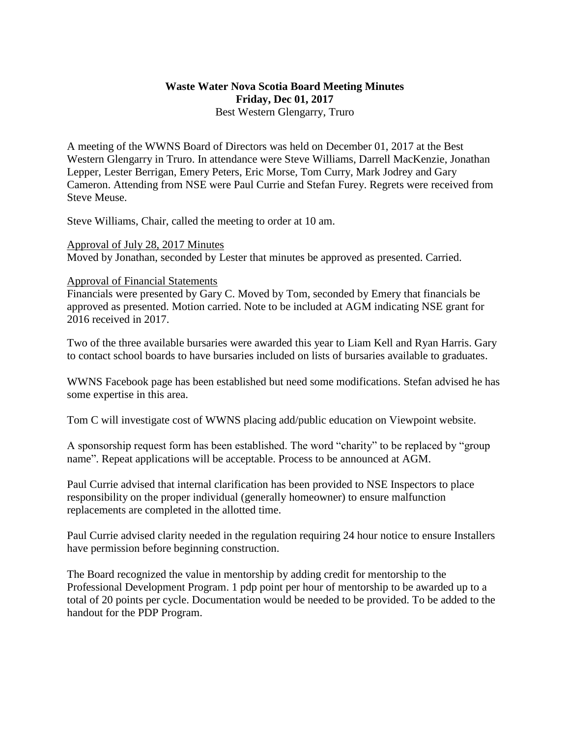## **Waste Water Nova Scotia Board Meeting Minutes Friday, Dec 01, 2017** Best Western Glengarry, Truro

A meeting of the WWNS Board of Directors was held on December 01, 2017 at the Best Western Glengarry in Truro. In attendance were Steve Williams, Darrell MacKenzie, Jonathan Lepper, Lester Berrigan, Emery Peters, Eric Morse, Tom Curry, Mark Jodrey and Gary Cameron. Attending from NSE were Paul Currie and Stefan Furey. Regrets were received from Steve Meuse.

Steve Williams, Chair, called the meeting to order at 10 am.

Approval of July 28, 2017 Minutes Moved by Jonathan, seconded by Lester that minutes be approved as presented. Carried.

## Approval of Financial Statements

Financials were presented by Gary C. Moved by Tom, seconded by Emery that financials be approved as presented. Motion carried. Note to be included at AGM indicating NSE grant for 2016 received in 2017.

Two of the three available bursaries were awarded this year to Liam Kell and Ryan Harris. Gary to contact school boards to have bursaries included on lists of bursaries available to graduates.

WWNS Facebook page has been established but need some modifications. Stefan advised he has some expertise in this area.

Tom C will investigate cost of WWNS placing add/public education on Viewpoint website.

A sponsorship request form has been established. The word "charity" to be replaced by "group name". Repeat applications will be acceptable. Process to be announced at AGM.

Paul Currie advised that internal clarification has been provided to NSE Inspectors to place responsibility on the proper individual (generally homeowner) to ensure malfunction replacements are completed in the allotted time.

Paul Currie advised clarity needed in the regulation requiring 24 hour notice to ensure Installers have permission before beginning construction.

The Board recognized the value in mentorship by adding credit for mentorship to the Professional Development Program. 1 pdp point per hour of mentorship to be awarded up to a total of 20 points per cycle. Documentation would be needed to be provided. To be added to the handout for the PDP Program.